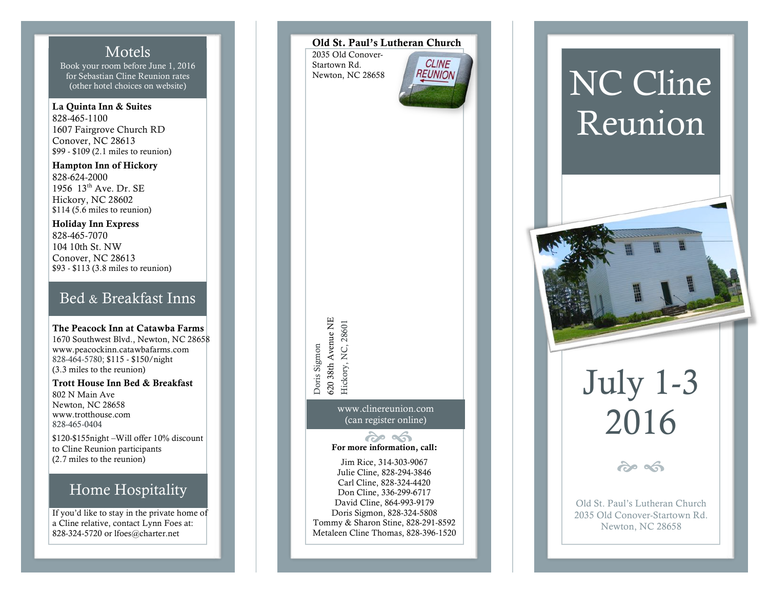### Motels

Book your room before June 1, 2016 for Sebastian Cline Reunion rates (other hotel choices on website)

La Quinta Inn & Suites 828 -465 -1100 1607 Fairgrove Church RD Conover, NC 28613 \$99 - \$109 (2.1 miles to reunion)

Hampton Inn of Hickory 828 -624 -2000 1956 13th Ave. Dr. SE Hickory, NC 28602 \$114 (5.6 miles to reunion)

Holiday Inn Express 828 -465 -7070 104 10th St. NW Conover, NC 28613 \$93 - \$113 (3.8 miles to reunion)

### Bed & Breakfast Inns

The Peacock Inn at Catawba Farms 1670 Southwest Blvd., Newton, NC 28658 www.peacockinn.catawbafarms.com 828 -464 -5780; \$115 - \$150/night (3.3 miles to the reunion )

Trott House Inn Bed & Breakfast 802 N Main Ave Newton, NC 28658 www.trotthouse.com 828 -465 -0404

\$120 -\$155night –Will offer 10% discount to Cline Reunion participants (2.7 miles to the reunion)

## Home Hospitality

If you'd like to stay in the private home of a Cline relative, contact Lynn Foes at: 828 -324 -5720 or lfoes@charter.net

### Old St. Paul's Lutheran Church

2035 Old Conover - Startown Rd. Newton, NC 28658



520 38th Avenue NE 620 38th Avenue NE Hickory, NC, 28601 Hickory, NC, 28601 Doris Sigmon Doris Sigmon

> www.clinereunion.com (can register online)

For more information, call:

Jim Rice, 314 -303 -9067 Julie Cline, 828 -294 -3846 Carl Cline, 828 -324 -4420 Don Cline, 336 -299 -6717 David Cline, 864 -993 -9179 Doris Sigmon, 828 -324 -5808 Tommy & Sharon Stine, 828 -291 -8592 Metaleen Cline Thomas, 828 -396 -1520

# NC Cline Reunion



# July 1-3 2016

 $209 - 5$ 

Old St. Paul's Lutheran Church 2035 Old Conover -Startown Rd. Newton, NC 28658